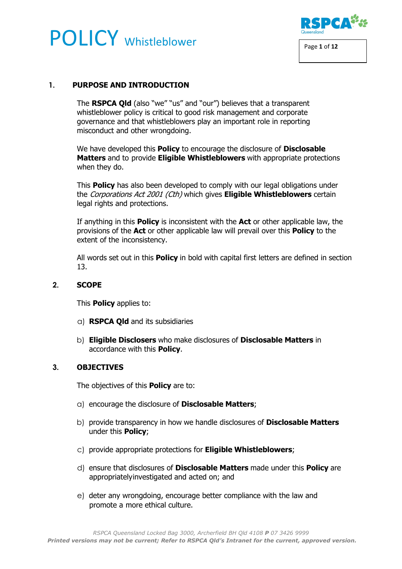# POLICY Whistleblower Page 1 of 12



# **1. PURPOSE AND INTRODUCTION**

The **RSPCA Qld** (also "we" "us" and "our") believes that a transparent whistleblower policy is critical to good risk management and corporate governance and that whistleblowers play an important role in reporting misconduct and other wrongdoing.

We have developed this **Policy** to encourage the disclosure of **Disclosable Matters** and to provide **Eligible Whistleblowers** with appropriate protections when they do.

This **Policy** has also been developed to comply with our legal obligations under the Corporations Act 2001 (Cth) which gives **Eligible Whistleblowers** certain legal rights and protections.

If anything in this **Policy** is inconsistent with the **Act** or other applicable law, the provisions of the **Act** or other applicable law will prevail over this **Policy** to the extent of the inconsistency.

All words set out in this **Policy** in bold with capital first letters are defined in section 13.

#### **2. SCOPE**

This **Policy** applies to:

- a) **RSPCA Qld** and its subsidiaries
- b) **Eligible Disclosers** who make disclosures of **Disclosable Matters** in accordance with this **Policy**.

#### **3. OBJECTIVES**

The objectives of this **Policy** are to:

- a) encourage the disclosure of **Disclosable Matters**;
- b) provide transparency in how we handle disclosures of **Disclosable Matters** under this **Policy**;
- c) provide appropriate protections for **Eligible Whistleblowers**;
- d) ensure that disclosures of **Disclosable Matters** made under this **Policy** are appropriatelyinvestigated and acted on; and
- e) deter any wrongdoing, encourage better compliance with the law and promote a more ethical culture.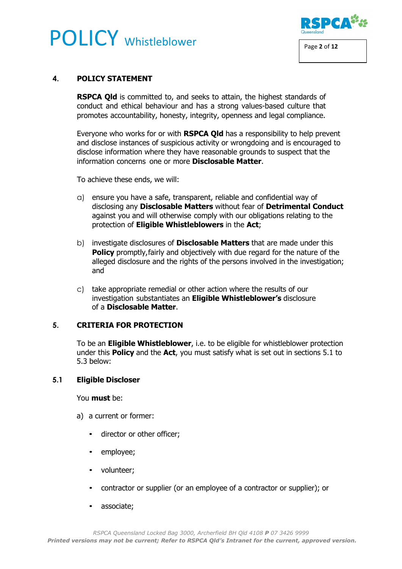# **POLICY** Whistleblower Page 2 of 12



### **4. POLICY STATEMENT**

**RSPCA Qld** is committed to, and seeks to attain, the highest standards of conduct and ethical behaviour and has a strong values-based culture that promotes accountability, honesty, integrity, openness and legal compliance.

Everyone who works for or with **RSPCA Qld** has a responsibility to help prevent and disclose instances of suspicious activity or wrongdoing and is encouraged to disclose information where they have reasonable grounds to suspect that the information concerns one or more **Disclosable Matter**.

To achieve these ends, we will:

- a) ensure you have a safe, transparent, reliable and confidential way of disclosing any **Disclosable Matters** without fear of **Detrimental Conduct**  against you and will otherwise comply with our obligations relating to the protection of **Eligible Whistleblowers** in the **Act**;
- b) investigate disclosures of **Disclosable Matters** that are made under this **Policy** promptly, fairly and objectively with due regard for the nature of the alleged disclosure and the rights of the persons involved in the investigation; and
- c) take appropriate remedial or other action where the results of our investigation substantiates an **Eligible Whistleblower's** disclosure of a **Disclosable Matter**.

#### **5. CRITERIA FOR PROTECTION**

To be an **Eligible Whistleblower**, i.e. to be eligible for whistleblower protection under this **Policy** and the **Act**, you must satisfy what is set out in sections 5.1 to 5.3 below:

#### **5.1 Eligible Discloser**

You **must** be:

- a) a current or former:
	- director or other officer;
	- employee;
	- volunteer;
	- contractor or supplier (or an employee of a contractor or supplier); or
	- associate;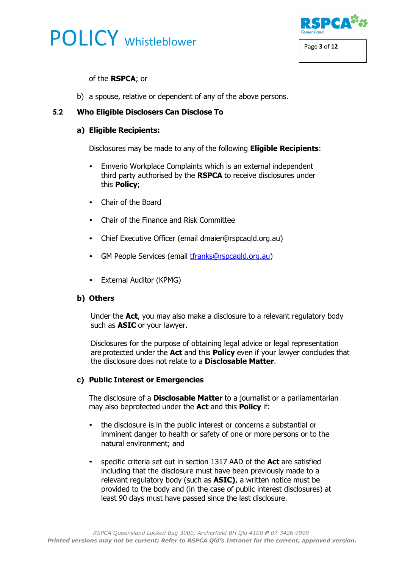



#### of the **RSPCA**; or

b) a spouse, relative or dependent of any of the above persons.

# **5.2 Who Eligible Disclosers Can Disclose To**

### **a) Eligible Recipients:**

Disclosures may be made to any of the following **Eligible Recipients**:

- Emverio Workplace Complaints which is an external independent third party authorised by the **RSPCA** to receive disclosures under this **Policy**;
- Chair of the Board
- Chair of the Finance and Risk Committee
- Chief Executive Officer (email dmaier@rspcaqld.org.au)
- GM People Services (email [tfranks@rspcaqld.org.au\)](mailto:tfranks@rspcaqld.org.au)
- External Auditor (KPMG)

#### **b) Others**

Under the **Act**, you may also make a disclosure to a relevant regulatory body such as **ASIC** or your lawyer.

Disclosures for the purpose of obtaining legal advice or legal representation are protected under the **Act** and this **Policy** even if your lawyer concludes that the disclosure does not relate to a **Disclosable Matter**.

#### **c) Public Interest or Emergencies**

The disclosure of a **Disclosable Matter** to a journalist or a parliamentarian may also beprotected under the **Act** and this **Policy** if:

- the disclosure is in the public interest or concerns a substantial or imminent danger to health or safety of one or more persons or to the natural environment; and
- specific criteria set out in section 1317 AAD of the **Act** are satisfied including that the disclosure must have been previously made to a relevant regulatory body (such as **ASIC)**, a written notice must be provided to the body and (in the case of public interest disclosures) at least 90 days must have passed since the last disclosure.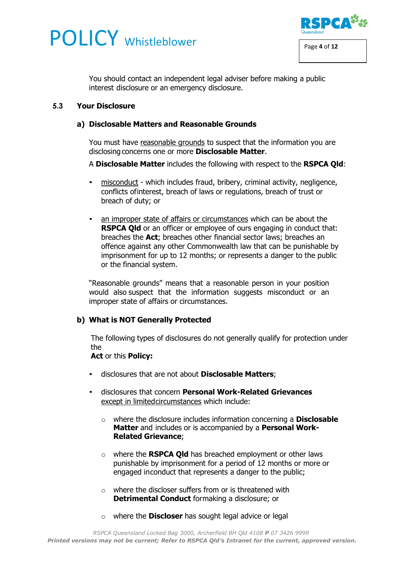



You should contact an independent legal adviser before making a public interest disclosure or an emergency disclosure.

#### **5.3 Your Disclosure**

#### **a) Disclosable Matters and Reasonable Grounds**

You must have reasonable grounds to suspect that the information you are disclosing concerns one or more **Disclosable Matter**.

A **Disclosable Matter** includes the following with respect to the **RSPCA Qld**:

- misconduct which includes fraud, bribery, criminal activity, negligence, conflicts ofinterest, breach of laws or regulations, breach of trust or breach of duty; or
- an improper state of affairs or circumstances which can be about the **RSPCA Qld** or an officer or employee of ours engaging in conduct that: breaches the **Act**; breaches other financial sector laws; breaches an offence against any other Commonwealth law that can be punishable by imprisonment for up to 12 months; or represents a danger to the public or the financial system.

"Reasonable grounds" means that a reasonable person in your position would also suspect that the information suggests misconduct or an improper state of affairs or circumstances.

# **b) What is NOT Generally Protected**

The following types of disclosures do not generally qualify for protection under the

#### **Act** or this **Policy:**

- disclosures that are not about **Disclosable Matters**;
- disclosures that concern **Personal Work-Related Grievances**  except in limitedcircumstances which include:
	- o where the disclosure includes information concerning a **Disclosable Matter** and includes or is accompanied by a **Personal Work-Related Grievance**;
	- o where the **RSPCA Qld** has breached employment or other laws punishable by imprisonment for a period of 12 months or more or engaged inconduct that represents a danger to the public;
	- $\circ$  where the discloser suffers from or is threatened with **Detrimental Conduct** formaking a disclosure; or
	- o where the **Discloser** has sought legal advice or legal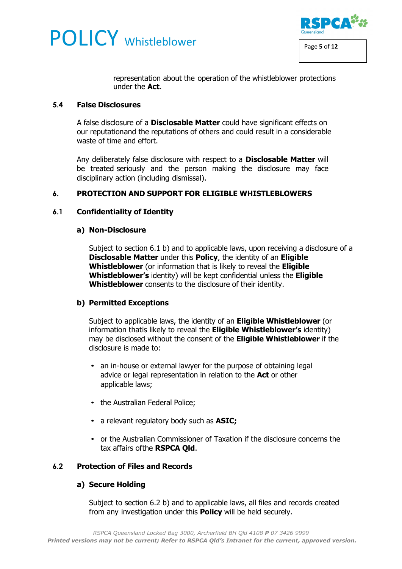



representation about the operation of the whistleblower protections under the **Act**.

#### **5.4 False Disclosures**

A false disclosure of a **Disclosable Matter** could have significant effects on our reputationand the reputations of others and could result in a considerable waste of time and effort.

Any deliberately false disclosure with respect to a **Disclosable Matter** will be treated seriously and the person making the disclosure may face disciplinary action (including dismissal).

### **6. PROTECTION AND SUPPORT FOR ELIGIBLE WHISTLEBLOWERS**

#### **6.1 Confidentiality of Identity**

#### **a) Non-Disclosure**

Subject to section 6.1 b) and to applicable laws, upon receiving a disclosure of a **Disclosable Matter** under this **Policy**, the identity of an **Eligible Whistleblower** (or information that is likely to reveal the **Eligible Whistleblower's** identity) will be kept confidential unless the **Eligible Whistleblower** consents to the disclosure of their identity.

#### **b) Permitted Exceptions**

Subject to applicable laws, the identity of an **Eligible Whistleblower** (or information thatis likely to reveal the **Eligible Whistleblower's** identity) may be disclosed without the consent of the **Eligible Whistleblower** if the disclosure is made to:

- an in-house or external lawyer for the purpose of obtaining legal advice or legal representation in relation to the **Act** or other applicable laws;
- the Australian Federal Police;
- a relevant regulatory body such as **ASIC;**
- or the Australian Commissioner of Taxation if the disclosure concerns the tax affairs ofthe **RSPCA Qld**.

#### **6.2 Protection of Files and Records**

#### **a) Secure Holding**

Subject to section 6.2 b) and to applicable laws, all files and records created from any investigation under this **Policy** will be held securely.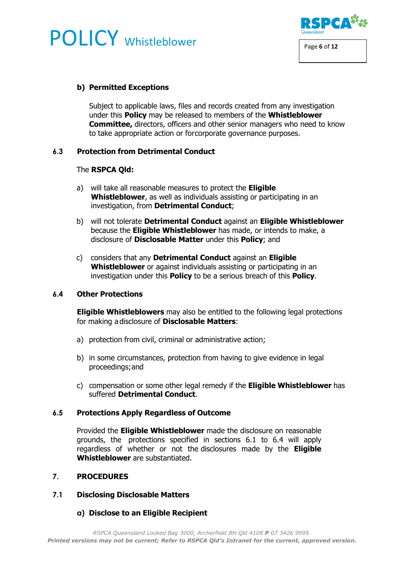# **POLICY** Whistleblower Page 6 of 12



### **b) Permitted Exceptions**

Subject to applicable laws, files and records created from any investigation under this **Policy** may be released to members of the **Whistleblower Committee,** directors, officers and other senior managers who need to know to take appropriate action or forcorporate governance purposes.

### **6.3 Protection from Detrimental Conduct**

#### The **RSPCA Qld:**

- a) will take all reasonable measures to protect the **Eligible Whistleblower**, as well as individuals assisting or participating in an investigation, from **Detrimental Conduct**;
- b) will not tolerate **Detrimental Conduct** against an **Eligible Whistleblower**  because the **Eligible Whistleblower** has made, or intends to make, a disclosure of **Disclosable Matter** under this **Policy**; and
- c) considers that any **Detrimental Conduct** against an **Eligible Whistleblower** or against individuals assisting or participating in an investigation under this **Policy** to be a serious breach of this **Policy**.

#### **6.4 Other Protections**

**Eligible Whistleblowers** may also be entitled to the following legal protections for making adisclosure of **Disclosable Matters**:

- a) protection from civil, criminal or administrative action;
- b) in some circumstances, protection from having to give evidence in legal proceedings;and
- c) compensation or some other legal remedy if the **Eligible Whistleblower** has suffered **Detrimental Conduct**.

#### **6.5 Protections Apply Regardless of Outcome**

Provided the **Eligible Whistleblower** made the disclosure on reasonable grounds, the protections specified in sections 6.1 to 6.4 will apply regardless of whether or not the disclosures made by the **Eligible Whistleblower** are substantiated.

#### **7. PROCEDURES**

#### **7.1 Disclosing Disclosable Matters**

# **a) Disclose to an Eligible Recipient**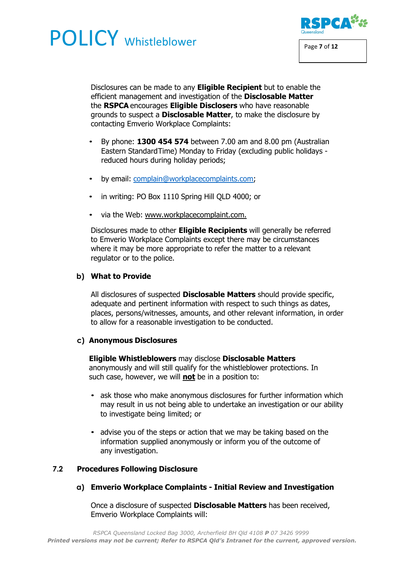# **POLICY** Whistleblower Page 7 of 12



Disclosures can be made to any **Eligible Recipient** but to enable the efficient management and investigation of the **Disclosable Matter**  the **RSPCA** encourages **Eligible Disclosers** who have reasonable grounds to suspect a **Disclosable Matter**, to make the disclosure by contacting Emverio Workplace Complaints:

- By phone: **1300 454 574** between 7.00 am and 8.00 pm (Australian Eastern StandardTime) Monday to Friday (excluding public holidays reduced hours during holiday periods;
- by email: [complain@workplacecomplaints.com;](mailto:complain@workplacecomplaints.com)
- in writing: PO Box 1110 Spring Hill QLD 4000; or
- via the Web: [www.workplacecomplaint.com.](http://www.workplacecomplaint.com/)

Disclosures made to other **Eligible Recipients** will generally be referred to Emverio Workplace Complaints except there may be circumstances where it may be more appropriate to refer the matter to a relevant regulator or to the police.

# **b) What to Provide**

All disclosures of suspected **Disclosable Matters** should provide specific, adequate and pertinent information with respect to such things as dates, places, persons/witnesses, amounts, and other relevant information, in order to allow for a reasonable investigation to be conducted.

# **c) Anonymous Disclosures**

#### **Eligible Whistleblowers** may disclose **Disclosable Matters**

anonymously and will still qualify for the whistleblower protections. In such case, however, we will **not** be in a position to:

- ask those who make anonymous disclosures for further information which may result in us not being able to undertake an investigation or our ability to investigate being limited; or
- advise you of the steps or action that we may be taking based on the information supplied anonymously or inform you of the outcome of any investigation.

# **7.2 Procedures Following Disclosure**

**a) Emverio Workplace Complaints - Initial Review and Investigation**

Once a disclosure of suspected **Disclosable Matters** has been received, Emverio Workplace Complaints will: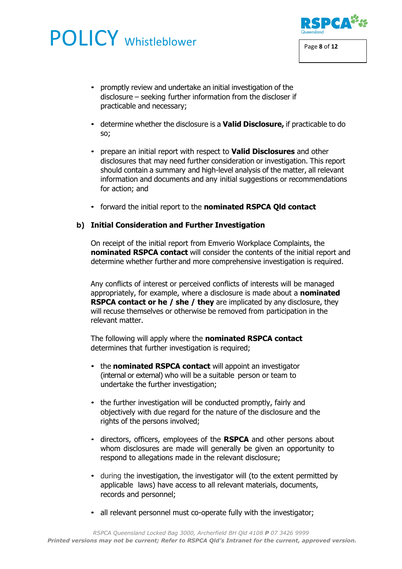# **POLICY** Whistleblower **RSPCA<sup>32</sup>**



- determine whether the disclosure is a **Valid Disclosure,** if practicable to do so;
- prepare an initial report with respect to **Valid Disclosures** and other disclosures that may need further consideration or investigation. This report should contain a summary and high-level analysis of the matter, all relevant information and documents and any initial suggestions or recommendations for action; and
- forward the initial report to the **nominated RSPCA Qld contact**

#### **b) Initial Consideration and Further Investigation**

On receipt of the initial report from Emverio Workplace Complaints, the **nominated RSPCA contact** will consider the contents of the initial report and determine whether further and more comprehensive investigation is required.

Any conflicts of interest or perceived conflicts of interests will be managed appropriately, for example, where a disclosure is made about a **nominated RSPCA contact or he / she / they** are implicated by any disclosure, they will recuse themselves or otherwise be removed from participation in the relevant matter.

The following will apply where the **nominated RSPCA contact**  determines that further investigation is required;

- the **nominated RSPCA contact** will appoint an investigator (internal or external) who will be a suitable person or team to undertake the further investigation;
- the further investigation will be conducted promptly, fairly and objectively with due regard for the nature of the disclosure and the rights of the persons involved;
- directors, officers, employees of the **RSPCA** and other persons about whom disclosures are made will generally be given an opportunity to respond to allegations made in the relevant disclosure;
- during the investigation, the investigator will (to the extent permitted by applicable laws) have access to all relevant materials, documents, records and personnel;
- all relevant personnel must co-operate fully with the investigator;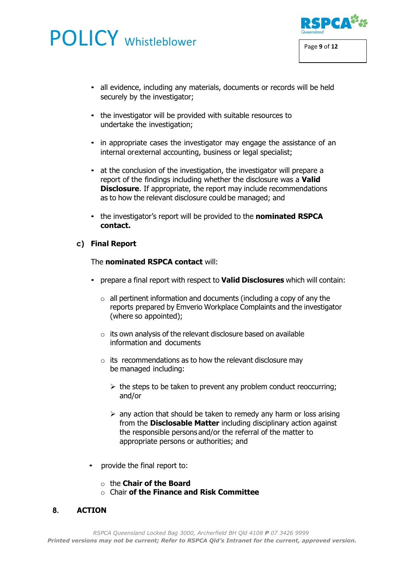# POLICY Whistleblower **POLICY** Whistleblower



- all evidence, including any materials, documents or records will be held securely by the investigator;
- the investigator will be provided with suitable resources to undertake the investigation;
- in appropriate cases the investigator may engage the assistance of an internal orexternal accounting, business or legal specialist;
- at the conclusion of the investigation, the investigator will prepare a report of the findings including whether the disclosure was a **Valid Disclosure**. If appropriate, the report may include recommendations as to how the relevant disclosure could be managed; and
- the investigator's report will be provided to the **nominated RSPCA contact.**

# **c) Final Report**

### The **nominated RSPCA contact** will:

- prepare a final report with respect to **Valid Disclosures** which will contain:
	- $\circ$  all pertinent information and documents (including a copy of any the reports prepared by Emverio Workplace Complaints and the investigator (where so appointed);
	- $\circ$  its own analysis of the relevant disclosure based on available information and documents
	- $\circ$  its recommendations as to how the relevant disclosure may be managed including:
		- $\triangleright$  the steps to be taken to prevent any problem conduct reoccurring; and/or
		- $\triangleright$  any action that should be taken to remedy any harm or loss arising from the **Disclosable Matter** including disciplinary action against the responsible persons and/or the referral of the matter to appropriate persons or authorities; and
- provide the final report to:
	- o the **Chair of the Board**
	- o Chair **of the Finance and Risk Committee**

# **8. ACTION**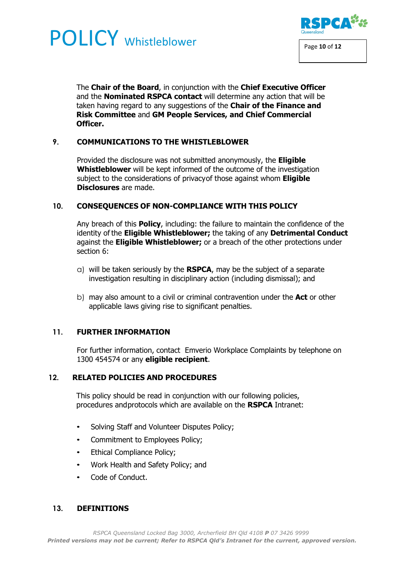# **POLICY** Whistleblower **RSPCA<sup>22</sup>**



The **Chair of the Board**, in conjunction with the **Chief Executive Officer**  and the **Nominated RSPCA contact** will determine any action that will be taken having regard to any suggestions of the **Chair of the Finance and Risk Committee** and **GM People Services, and Chief Commercial Officer.**

# **9. COMMUNICATIONS TO THE WHISTLEBLOWER**

Provided the disclosure was not submitted anonymously, the **Eligible Whistleblower** will be kept informed of the outcome of the investigation subject to the considerations of privacyof those against whom **Eligible Disclosures** are made.

# **10. CONSEQUENCES OF NON-COMPLIANCE WITH THIS POLICY**

Any breach of this **Policy**, including: the failure to maintain the confidence of the identity of the **Eligible Whistleblower;** the taking of any **Detrimental Conduct**  against the **Eligible Whistleblower;** or a breach of the other protections under section 6:

- a) will be taken seriously by the **RSPCA**, may be the subject of a separate investigation resulting in disciplinary action (including dismissal); and
- b) may also amount to a civil or criminal contravention under the **Act** or other applicable laws giving rise to significant penalties.

# **11. FURTHER INFORMATION**

For further information, contact Emverio Workplace Complaints by telephone on 1300 454574 or any **eligible recipient**.

#### **12. RELATED POLICIES AND PROCEDURES**

This policy should be read in conjunction with our following policies, procedures andprotocols which are available on the **RSPCA** Intranet:

- Solving Staff and Volunteer Disputes Policy;
- Commitment to Employees Policy;
- Ethical Compliance Policy;
- Work Health and Safety Policy; and
- Code of Conduct.

#### **13. DEFINITIONS**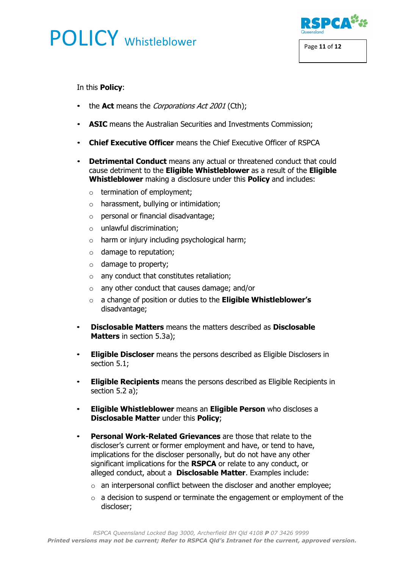# **POLICY** Whistleblower Page 11 of 12



In this **Policy**:

- the **Act** means the *Corporations Act 2001* (Cth);
- **ASIC** means the Australian Securities and Investments Commission;
- **Chief Executive Officer** means the Chief Executive Officer of RSPCA
- **Detrimental Conduct** means any actual or threatened conduct that could cause detriment to the **Eligible Whistleblower** as a result of the **Eligible Whistleblower** making a disclosure under this **Policy** and includes:
	- $\circ$  termination of employment;
	- $\circ$  harassment, bullying or intimidation;
	- o personal or financial disadvantage;
	- o unlawful discrimination;
	- $\circ$  harm or injury including psychological harm;
	- $\circ$  damage to reputation;
	- o damage to property;
	- $\circ$  any conduct that constitutes retaliation;
	- o any other conduct that causes damage; and/or
	- o a change of position or duties to the **Eligible Whistleblower's** disadvantage:
- **Disclosable Matters** means the matters described as **Disclosable Matters** in section 5.3a);
- **Eligible Discloser** means the persons described as Eligible Disclosers in section 5.1;
- **Eligible Recipients** means the persons described as Eligible Recipients in section 5.2 a);
- **Eligible Whistleblower** means an **Eligible Person** who discloses a **Disclosable Matter** under this **Policy**;
- **Personal Work-Related Grievances** are those that relate to the discloser's current or former employment and have, or tend to have, implications for the discloser personally, but do not have any other significant implications for the **RSPCA** or relate to any conduct, or alleged conduct, about a **Disclosable Matter**. Examples include:
	- $\circ$  an interpersonal conflict between the discloser and another employee;
	- $\circ$  a decision to suspend or terminate the engagement or employment of the discloser;